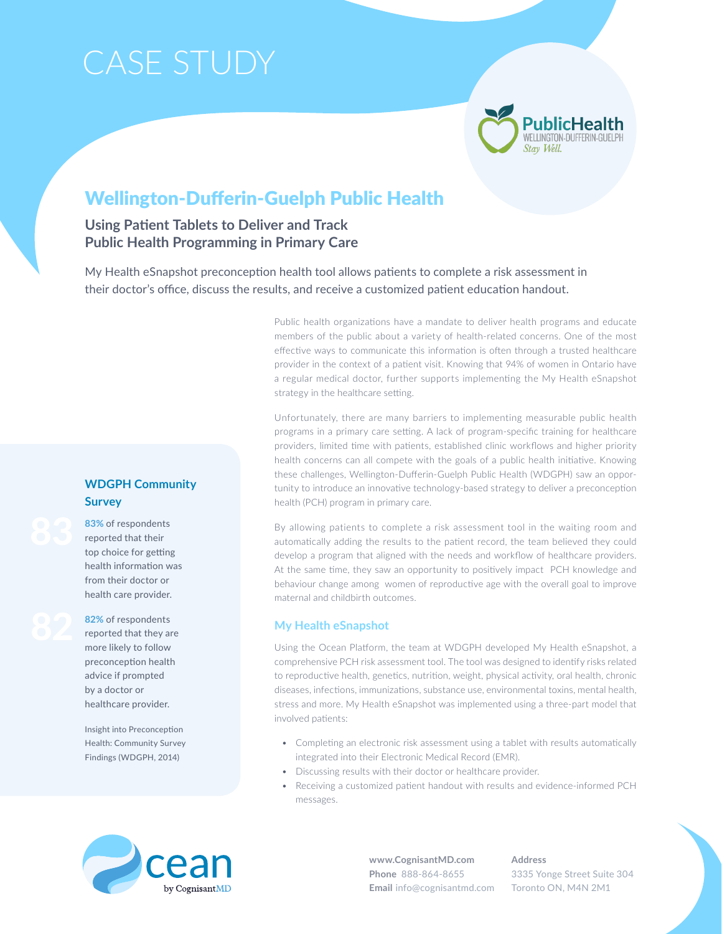# Case Study



# Wellington-Dufferin-Guelph Public Health

# **Using Patient Tablets to Deliver and Track Public Health Programming in Primary Care**

My Health eSnapshot preconception health tool allows patients to complete a risk assessment in their doctor's office, discuss the results, and receive a customized patient education handout.

> Public health organizations have a mandate to deliver health programs and educate members of the public about a variety of health-related concerns. One of the most effective ways to communicate this information is often through a trusted healthcare provider in the context of a patient visit. Knowing that 94% of women in Ontario have a regular medical doctor, further supports implementing the My Health eSnapshot strategy in the healthcare setting.

> Unfortunately, there are many barriers to implementing measurable public health programs in a primary care setting. A lack of program-specific training for healthcare providers, limited time with patients, established clinic workflows and higher priority health concerns can all compete with the goals of a public health initiative. Knowing these challenges, Wellington-Dufferin-Guelph Public Health (WDGPH) saw an opportunity to introduce an innovative technology-based strategy to deliver a preconception health (PCH) program in primary care.

> By allowing patients to complete a risk assessment tool in the waiting room and automatically adding the results to the patient record, the team believed they could develop a program that aligned with the needs and workflow of healthcare providers. At the same time, they saw an opportunity to positively impact PCH knowledge and behaviour change among women of reproductive age with the overall goal to improve maternal and childbirth outcomes.

#### **My Health eSnapshot**

Using the Ocean Platform, the team at WDGPH developed My Health eSnapshot, a comprehensive PCH risk assessment tool. The tool was designed to identify risks related to reproductive health, genetics, nutrition, weight, physical activity, oral health, chronic diseases, infections, immunizations, substance use, environmental toxins, mental health, stress and more. My Health eSnapshot was implemented using a three-part model that involved patients:

- Completing an electronic risk assessment using a tablet with results automatically integrated into their Electronic Medical Record (EMR).
- Discussing results with their doctor or healthcare provider.
- Receiving a customized patient handout with results and evidence-informed PCH messages.

**Survey 83%** of respondents

**WDGPH Community** 

reported that their top choice for getting health information was from their doctor or health care provider.

**82%** of respondents reported that they are more likely to follow preconception health advice if prompted by a doctor or healthcare provider.

Insight into Preconception Health: Community Survey Findings (WDGPH, 2014)



**www.CognisantMD.com Phone** 888-864-8655 **Email** info@cognisantmd.com **Address** 3335 Yonge Street Suite 304 Toronto ON, M4N 2M1